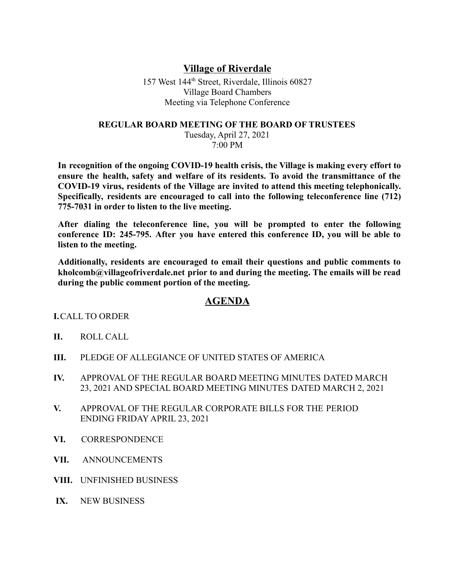## **Village of Riverdale**

157 West 144th Street, Riverdale, Illinois 60827 Village Board Chambers Meeting via Telephone Conference

## **REGULAR BOARD MEETING OF THE BOARD OF TRUSTEES**

Tuesday, April 27, 2021 7:00 PM

**In recognition of the ongoing COVID-19 health crisis, the Village is making every effort to ensure the health, safety and welfare of its residents. To avoid the transmittance of the COVID-19 virus, residents of the Village are invited to attend this meeting telephonically. Specifically, residents are encouraged to call into the following teleconference line (712) 775-7031 in order to listen to the live meeting.**

**After dialing the teleconference line, you will be prompted to enter the following conference ID: 245-795. After you have entered this conference ID, you will be able to listen to the meeting.**

**Additionally, residents are encouraged to email their questions and public comments to kholcomb@villageofriverdale.net prior to and during the meeting. The emails will be read during the public comment portion of the meeting.**

## **AGENDA**

## **I.**CALL TO ORDER

- **II.** ROLL CALL
- **III.** PLEDGE OF ALLEGIANCE OF UNITED STATES OF AMERICA
- **IV.** APPROVAL OF THE REGULAR BOARD MEETING MINUTES DATED MARCH 23, 2021 AND SPECIAL BOARD MEETING MINUTES DATED MARCH 2, 2021
- **V.** APPROVAL OF THE REGULAR CORPORATE BILLS FOR THE PERIOD ENDING FRIDAY APRIL 23, 2021
- **VI.** CORRESPONDENCE
- **VII.** ANNOUNCEMENTS
- **VIII.** UNFINISHED BUSINESS
- **IX.** NEW BUSINESS